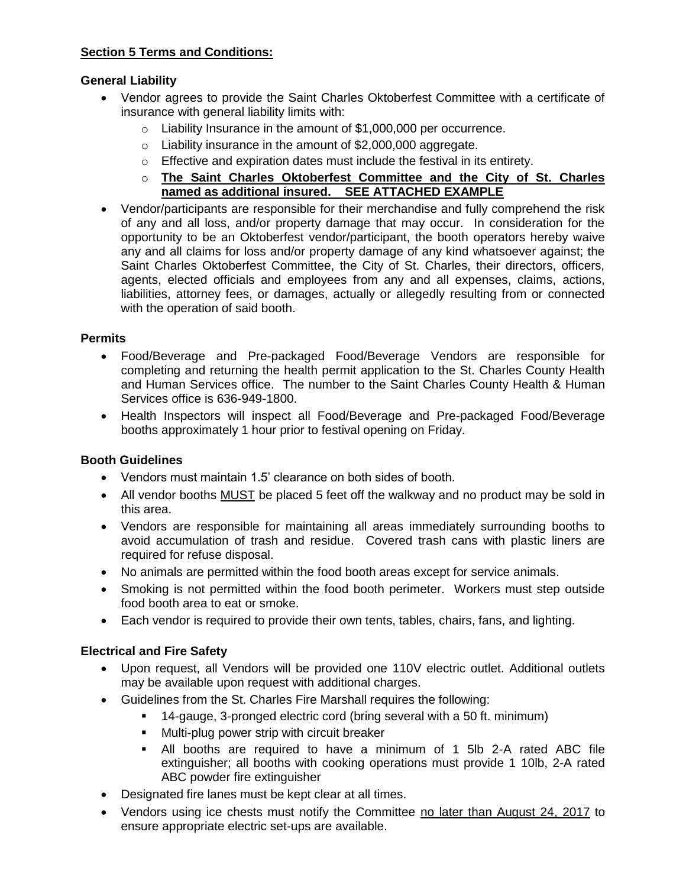## **Section 5 Terms and Conditions:**

### **General Liability**

- Vendor agrees to provide the Saint Charles Oktoberfest Committee with a certificate of insurance with general liability limits with:
	- o Liability Insurance in the amount of \$1,000,000 per occurrence.
	- o Liability insurance in the amount of \$2,000,000 aggregate.
	- o Effective and expiration dates must include the festival in its entirety.
	- o **The Saint Charles Oktoberfest Committee and the City of St. Charles named as additional insured. SEE ATTACHED EXAMPLE**
- Vendor/participants are responsible for their merchandise and fully comprehend the risk of any and all loss, and/or property damage that may occur. In consideration for the opportunity to be an Oktoberfest vendor/participant, the booth operators hereby waive any and all claims for loss and/or property damage of any kind whatsoever against; the Saint Charles Oktoberfest Committee, the City of St. Charles, their directors, officers, agents, elected officials and employees from any and all expenses, claims, actions, liabilities, attorney fees, or damages, actually or allegedly resulting from or connected with the operation of said booth.

#### **Permits**

- Food/Beverage and Pre-packaged Food/Beverage Vendors are responsible for completing and returning the health permit application to the St. Charles County Health and Human Services office. The number to the Saint Charles County Health & Human Services office is 636-949-1800.
- Health Inspectors will inspect all Food/Beverage and Pre-packaged Food/Beverage booths approximately 1 hour prior to festival opening on Friday.

# **Booth Guidelines**

- Vendors must maintain 1.5' clearance on both sides of booth.
- All vendor booths MUST be placed 5 feet off the walkway and no product may be sold in this area.
- Vendors are responsible for maintaining all areas immediately surrounding booths to avoid accumulation of trash and residue. Covered trash cans with plastic liners are required for refuse disposal.
- No animals are permitted within the food booth areas except for service animals.
- Smoking is not permitted within the food booth perimeter. Workers must step outside food booth area to eat or smoke.
- Each vendor is required to provide their own tents, tables, chairs, fans, and lighting.

# **Electrical and Fire Safety**

- Upon request, all Vendors will be provided one 110V electric outlet. Additional outlets may be available upon request with additional charges.
- Guidelines from the St. Charles Fire Marshall requires the following:
	- 14-gauge, 3-pronged electric cord (bring several with a 50 ft. minimum)
		- **Multi-plug power strip with circuit breaker**
		- All booths are required to have a minimum of 1 5lb 2-A rated ABC file extinguisher; all booths with cooking operations must provide 1 10lb, 2-A rated ABC powder fire extinguisher
- Designated fire lanes must be kept clear at all times.
- Vendors using ice chests must notify the Committee no later than August 24, 2017 to ensure appropriate electric set-ups are available.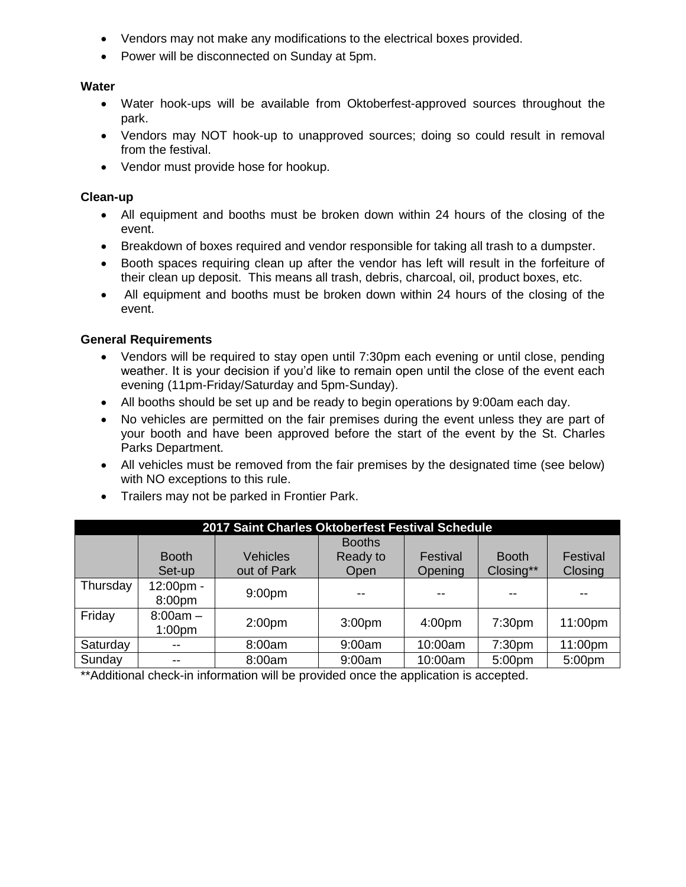- Vendors may not make any modifications to the electrical boxes provided.
- Power will be disconnected on Sunday at 5pm.

### **Water**

- Water hook-ups will be available from Oktoberfest-approved sources throughout the park.
- Vendors may NOT hook-up to unapproved sources; doing so could result in removal from the festival.
- Vendor must provide hose for hookup.

## **Clean-up**

- All equipment and booths must be broken down within 24 hours of the closing of the event.
- Breakdown of boxes required and vendor responsible for taking all trash to a dumpster.
- Booth spaces requiring clean up after the vendor has left will result in the forfeiture of their clean up deposit. This means all trash, debris, charcoal, oil, product boxes, etc.
- All equipment and booths must be broken down within 24 hours of the closing of the event.

### **General Requirements**

- Vendors will be required to stay open until 7:30pm each evening or until close, pending weather. It is your decision if you'd like to remain open until the close of the event each evening (11pm-Friday/Saturday and 5pm-Sunday).
- All booths should be set up and be ready to begin operations by 9:00am each day.
- No vehicles are permitted on the fair premises during the event unless they are part of your booth and have been approved before the start of the event by the St. Charles Parks Department.
- All vehicles must be removed from the fair premises by the designated time (see below) with NO exceptions to this rule.
- Trailers may not be parked in Frontier Park.

| 2017 Saint Charles Oktoberfest Festival Schedule |                                  |                                |                                   |                     |                           |                     |  |  |  |  |  |  |  |
|--------------------------------------------------|----------------------------------|--------------------------------|-----------------------------------|---------------------|---------------------------|---------------------|--|--|--|--|--|--|--|
|                                                  | <b>Booth</b><br>Set-up           | <b>Vehicles</b><br>out of Park | <b>Booths</b><br>Ready to<br>Open | Festival<br>Opening | <b>Booth</b><br>Closing** | Festival<br>Closing |  |  |  |  |  |  |  |
| Thursday                                         | 12:00pm -<br>8:00pm              | 9:00 <sub>pm</sub>             |                                   | --                  |                           |                     |  |  |  |  |  |  |  |
| Friday                                           | $8:00am -$<br>1:00 <sub>pm</sub> | 2:00 <sub>pm</sub>             | 3:00 <sub>pm</sub>                | 4:00 <sub>pm</sub>  | 7:30 <sub>pm</sub>        | 11:00pm             |  |  |  |  |  |  |  |
| Saturday                                         | $- -$                            | 8:00am                         | 9:00am                            | 10:00am             | 7:30 <sub>pm</sub>        | 11:00pm             |  |  |  |  |  |  |  |
| Sunday                                           |                                  | 8:00am                         | 9:00am                            | 10:00am             | 5:00pm                    | 5:00pm              |  |  |  |  |  |  |  |

\*\*Additional check-in information will be provided once the application is accepted.